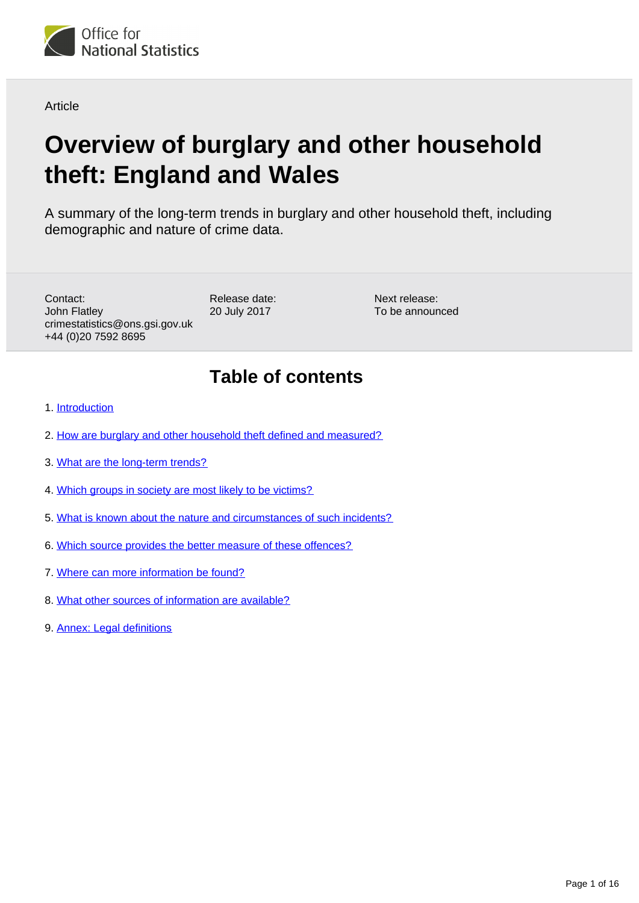

Article

# **Overview of burglary and other household theft: England and Wales**

A summary of the long-term trends in burglary and other household theft, including demographic and nature of crime data.

Contact: John Flatley crimestatistics@ons.gsi.gov.uk +44 (0)20 7592 8695

Release date: 20 July 2017

Next release: To be announced

## **Table of contents**

- 1. [Introduction](#page-1-0)
- 2. [How are burglary and other household theft defined and measured?](#page-1-1)
- 3. [What are the long-term trends?](#page-3-0)
- 4. [Which groups in society are most likely to be victims?](#page-7-0)
- 5. [What is known about the nature and circumstances of such incidents?](#page-8-0)
- 6. [Which source provides the better measure of these offences?](#page-10-0)
- 7. [Where can more information be found?](#page-11-0)
- 8. [What other sources of information are available?](#page-12-0)
- 9. [Annex: Legal definitions](#page-14-0)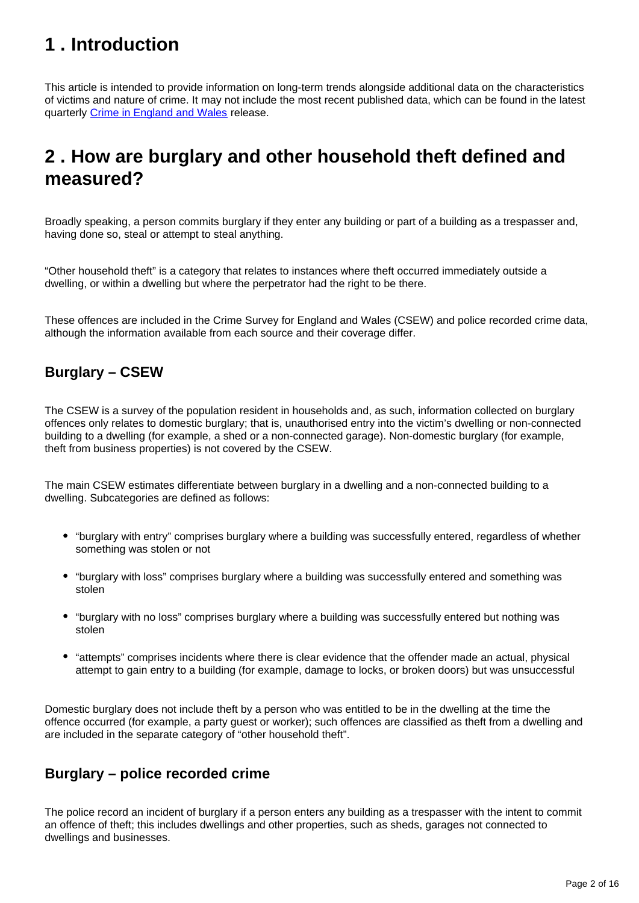## <span id="page-1-0"></span>**1 . Introduction**

This article is intended to provide information on long-term trends alongside additional data on the characteristics of victims and nature of crime. It may not include the most recent published data, which can be found in the latest quarterly [Crime in England and Wales](https://www.ons.gov.uk/peoplepopulationandcommunity/crimeandjustice/bulletins/crimeinenglandandwales/previousReleases) release.

## <span id="page-1-1"></span>**2 . How are burglary and other household theft defined and measured?**

Broadly speaking, a person commits burglary if they enter any building or part of a building as a trespasser and, having done so, steal or attempt to steal anything.

"Other household theft" is a category that relates to instances where theft occurred immediately outside a dwelling, or within a dwelling but where the perpetrator had the right to be there.

These offences are included in the Crime Survey for England and Wales (CSEW) and police recorded crime data, although the information available from each source and their coverage differ.

### **Burglary – CSEW**

The CSEW is a survey of the population resident in households and, as such, information collected on burglary offences only relates to domestic burglary; that is, unauthorised entry into the victim's dwelling or non-connected building to a dwelling (for example, a shed or a non-connected garage). Non-domestic burglary (for example, theft from business properties) is not covered by the CSEW.

The main CSEW estimates differentiate between burglary in a dwelling and a non-connected building to a dwelling. Subcategories are defined as follows:

- "burglary with entry" comprises burglary where a building was successfully entered, regardless of whether something was stolen or not
- "burglary with loss" comprises burglary where a building was successfully entered and something was stolen
- "burglary with no loss" comprises burglary where a building was successfully entered but nothing was stolen
- "attempts" comprises incidents where there is clear evidence that the offender made an actual, physical attempt to gain entry to a building (for example, damage to locks, or broken doors) but was unsuccessful

Domestic burglary does not include theft by a person who was entitled to be in the dwelling at the time the offence occurred (for example, a party guest or worker); such offences are classified as theft from a dwelling and are included in the separate category of "other household theft".

### **Burglary – police recorded crime**

The police record an incident of burglary if a person enters any building as a trespasser with the intent to commit an offence of theft; this includes dwellings and other properties, such as sheds, garages not connected to dwellings and businesses.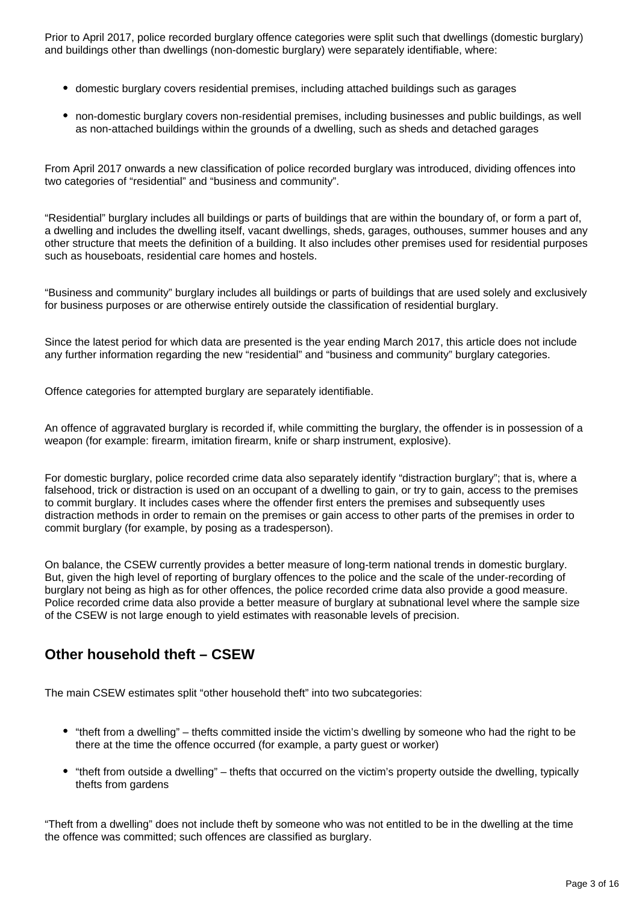Prior to April 2017, police recorded burglary offence categories were split such that dwellings (domestic burglary) and buildings other than dwellings (non-domestic burglary) were separately identifiable, where:

- domestic burglary covers residential premises, including attached buildings such as garages
- non-domestic burglary covers non-residential premises, including businesses and public buildings, as well as non-attached buildings within the grounds of a dwelling, such as sheds and detached garages

From April 2017 onwards a new classification of police recorded burglary was introduced, dividing offences into two categories of "residential" and "business and community".

"Residential" burglary includes all buildings or parts of buildings that are within the boundary of, or form a part of, a dwelling and includes the dwelling itself, vacant dwellings, sheds, garages, outhouses, summer houses and any other structure that meets the definition of a building. It also includes other premises used for residential purposes such as houseboats, residential care homes and hostels.

"Business and community" burglary includes all buildings or parts of buildings that are used solely and exclusively for business purposes or are otherwise entirely outside the classification of residential burglary.

Since the latest period for which data are presented is the year ending March 2017, this article does not include any further information regarding the new "residential" and "business and community" burglary categories.

Offence categories for attempted burglary are separately identifiable.

An offence of aggravated burglary is recorded if, while committing the burglary, the offender is in possession of a weapon (for example: firearm, imitation firearm, knife or sharp instrument, explosive).

For domestic burglary, police recorded crime data also separately identify "distraction burglary"; that is, where a falsehood, trick or distraction is used on an occupant of a dwelling to gain, or try to gain, access to the premises to commit burglary. It includes cases where the offender first enters the premises and subsequently uses distraction methods in order to remain on the premises or gain access to other parts of the premises in order to commit burglary (for example, by posing as a tradesperson).

On balance, the CSEW currently provides a better measure of long-term national trends in domestic burglary. But, given the high level of reporting of burglary offences to the police and the scale of the under-recording of burglary not being as high as for other offences, the police recorded crime data also provide a good measure. Police recorded crime data also provide a better measure of burglary at subnational level where the sample size of the CSEW is not large enough to yield estimates with reasonable levels of precision.

### **Other household theft – CSEW**

The main CSEW estimates split "other household theft" into two subcategories:

- "theft from a dwelling" thefts committed inside the victim's dwelling by someone who had the right to be there at the time the offence occurred (for example, a party guest or worker)
- "theft from outside a dwelling" thefts that occurred on the victim's property outside the dwelling, typically thefts from gardens

"Theft from a dwelling" does not include theft by someone who was not entitled to be in the dwelling at the time the offence was committed; such offences are classified as burglary.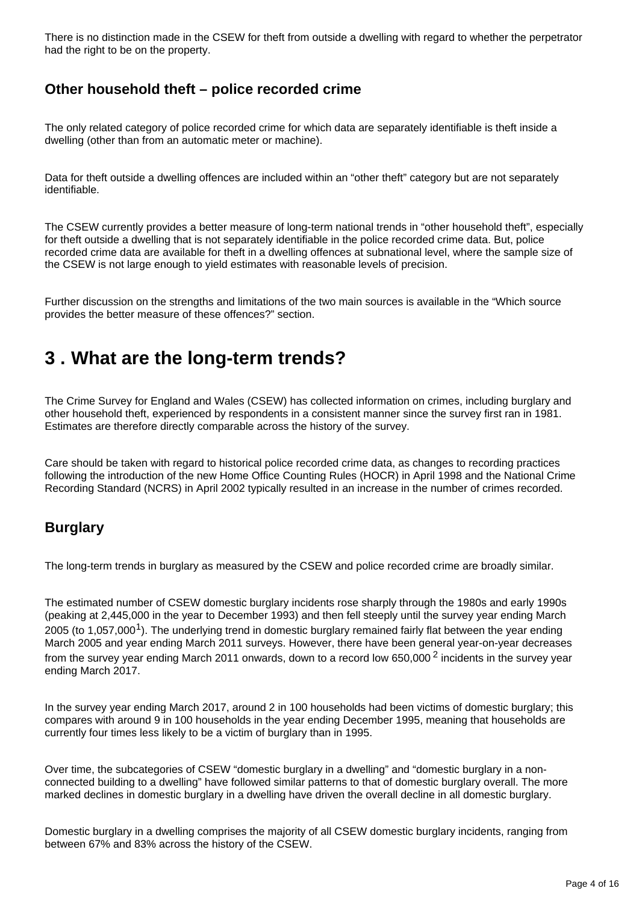There is no distinction made in the CSEW for theft from outside a dwelling with regard to whether the perpetrator had the right to be on the property.

### **Other household theft – police recorded crime**

The only related category of police recorded crime for which data are separately identifiable is theft inside a dwelling (other than from an automatic meter or machine).

Data for theft outside a dwelling offences are included within an "other theft" category but are not separately identifiable.

The CSEW currently provides a better measure of long-term national trends in "other household theft", especially for theft outside a dwelling that is not separately identifiable in the police recorded crime data. But, police recorded crime data are available for theft in a dwelling offences at subnational level, where the sample size of the CSEW is not large enough to yield estimates with reasonable levels of precision.

Further discussion on the strengths and limitations of the two main sources is available in the "Which source provides the better measure of these offences?" section.

## <span id="page-3-0"></span>**3 . What are the long-term trends?**

The Crime Survey for England and Wales (CSEW) has collected information on crimes, including burglary and other household theft, experienced by respondents in a consistent manner since the survey first ran in 1981. Estimates are therefore directly comparable across the history of the survey.

Care should be taken with regard to historical police recorded crime data, as changes to recording practices following the introduction of the new Home Office Counting Rules (HOCR) in April 1998 and the National Crime Recording Standard (NCRS) in April 2002 typically resulted in an increase in the number of crimes recorded.

#### **Burglary**

The long-term trends in burglary as measured by the CSEW and police recorded crime are broadly similar.

The estimated number of CSEW domestic burglary incidents rose sharply through the 1980s and early 1990s (peaking at 2,445,000 in the year to December 1993) and then fell steeply until the survey year ending March 2005 (to 1,057,000<sup>1</sup>). The underlying trend in domestic burglary remained fairly flat between the year ending March 2005 and year ending March 2011 surveys. However, there have been general year-on-year decreases from the survey year ending March 2011 onwards, down to a record low 650,000<sup>2</sup> incidents in the survey year ending March 2017.

In the survey year ending March 2017, around 2 in 100 households had been victims of domestic burglary; this compares with around 9 in 100 households in the year ending December 1995, meaning that households are currently four times less likely to be a victim of burglary than in 1995.

Over time, the subcategories of CSEW "domestic burglary in a dwelling" and "domestic burglary in a nonconnected building to a dwelling" have followed similar patterns to that of domestic burglary overall. The more marked declines in domestic burglary in a dwelling have driven the overall decline in all domestic burglary.

Domestic burglary in a dwelling comprises the majority of all CSEW domestic burglary incidents, ranging from between 67% and 83% across the history of the CSEW.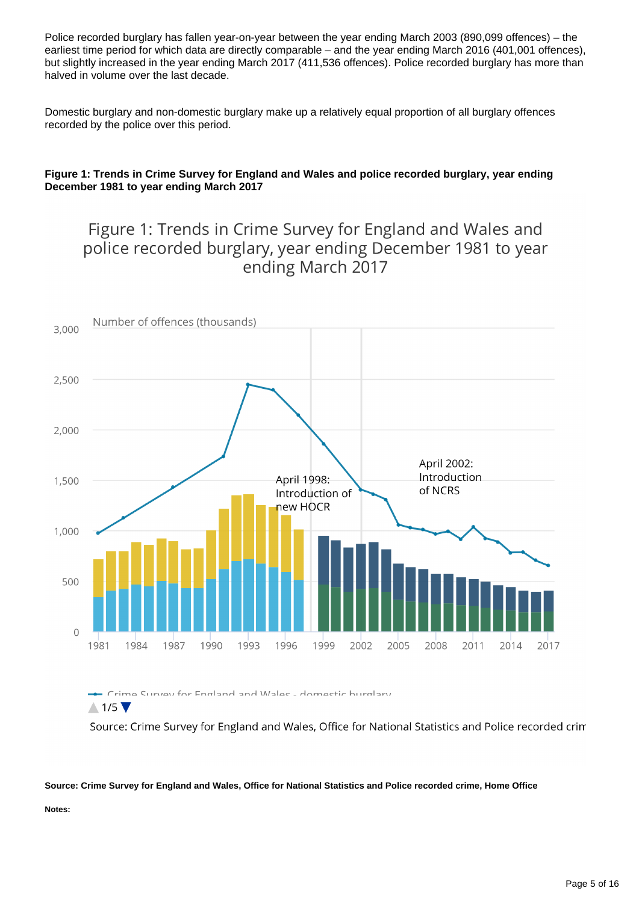Police recorded burglary has fallen year-on-year between the year ending March 2003 (890,099 offences) – the earliest time period for which data are directly comparable – and the year ending March 2016 (401,001 offences), but slightly increased in the year ending March 2017 (411,536 offences). Police recorded burglary has more than halved in volume over the last decade.

Domestic burglary and non-domestic burglary make up a relatively equal proportion of all burglary offences recorded by the police over this period.

#### **Figure 1: Trends in Crime Survey for England and Wales and police recorded burglary, year ending December 1981 to year ending March 2017**

### Figure 1: Trends in Crime Survey for England and Wales and police recorded burglary, year ending December 1981 to year ending March 2017



 $\triangle$  1/5

Source: Crime Survey for England and Wales, Office for National Statistics and Police recorded crim

#### **Source: Crime Survey for England and Wales, Office for National Statistics and Police recorded crime, Home Office**

**Notes:**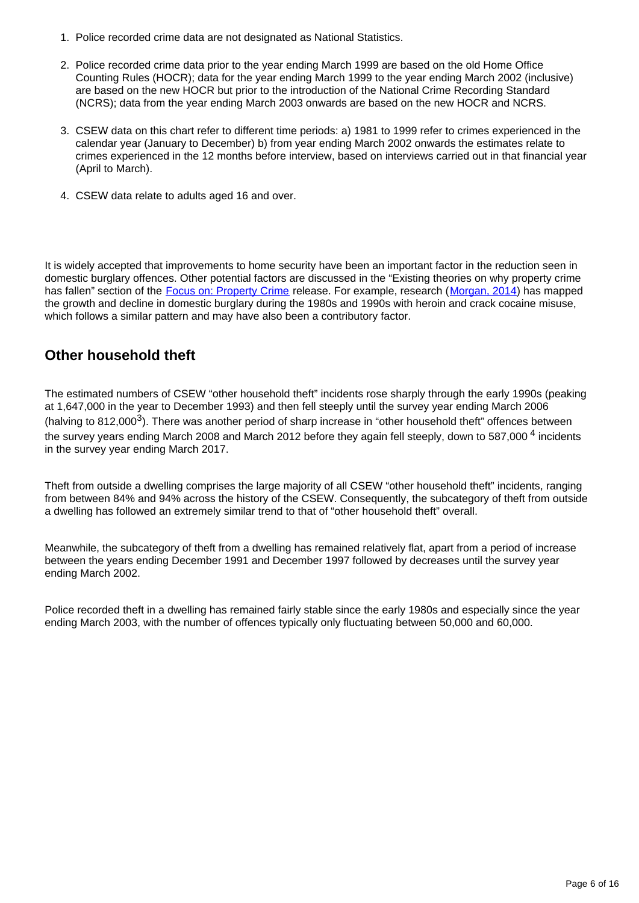- 1. Police recorded crime data are not designated as National Statistics.
- 2. Police recorded crime data prior to the year ending March 1999 are based on the old Home Office Counting Rules (HOCR); data for the year ending March 1999 to the year ending March 2002 (inclusive) are based on the new HOCR but prior to the introduction of the National Crime Recording Standard (NCRS); data from the year ending March 2003 onwards are based on the new HOCR and NCRS.
- 3. CSEW data on this chart refer to different time periods: a) 1981 to 1999 refer to crimes experienced in the calendar year (January to December) b) from year ending March 2002 onwards the estimates relate to crimes experienced in the 12 months before interview, based on interviews carried out in that financial year (April to March).
- 4. CSEW data relate to adults aged 16 and over.

It is widely accepted that improvements to home security have been an important factor in the reduction seen in domestic burglary offences. Other potential factors are discussed in the "Existing theories on why property crime has fallen" section of the **[Focus on: Property Crime](http://webarchive.nationalarchives.gov.uk/20160106010529/http://www.ons.gov.uk/ons/rel/crime-stats/crime-statistics/focus-on-property-crime--2014-to-2015/index.html) release**. For example, research ([Morgan, 2014\)](https://www.gov.uk/government/uploads/system/uploads/attachment_data/file/332963/horr79tr.pdf) has mapped the growth and decline in domestic burglary during the 1980s and 1990s with heroin and crack cocaine misuse, which follows a similar pattern and may have also been a contributory factor.

#### **Other household theft**

The estimated numbers of CSEW "other household theft" incidents rose sharply through the early 1990s (peaking at 1,647,000 in the year to December 1993) and then fell steeply until the survey year ending March 2006 (halving to 812,000<sup>3</sup>). There was another period of sharp increase in "other household theft" offences between the survey years ending March 2008 and March 2012 before they again fell steeply, down to 587,000<sup>4</sup> incidents in the survey year ending March 2017.

Theft from outside a dwelling comprises the large majority of all CSEW "other household theft" incidents, ranging from between 84% and 94% across the history of the CSEW. Consequently, the subcategory of theft from outside a dwelling has followed an extremely similar trend to that of "other household theft" overall.

Meanwhile, the subcategory of theft from a dwelling has remained relatively flat, apart from a period of increase between the years ending December 1991 and December 1997 followed by decreases until the survey year ending March 2002.

Police recorded theft in a dwelling has remained fairly stable since the early 1980s and especially since the year ending March 2003, with the number of offences typically only fluctuating between 50,000 and 60,000.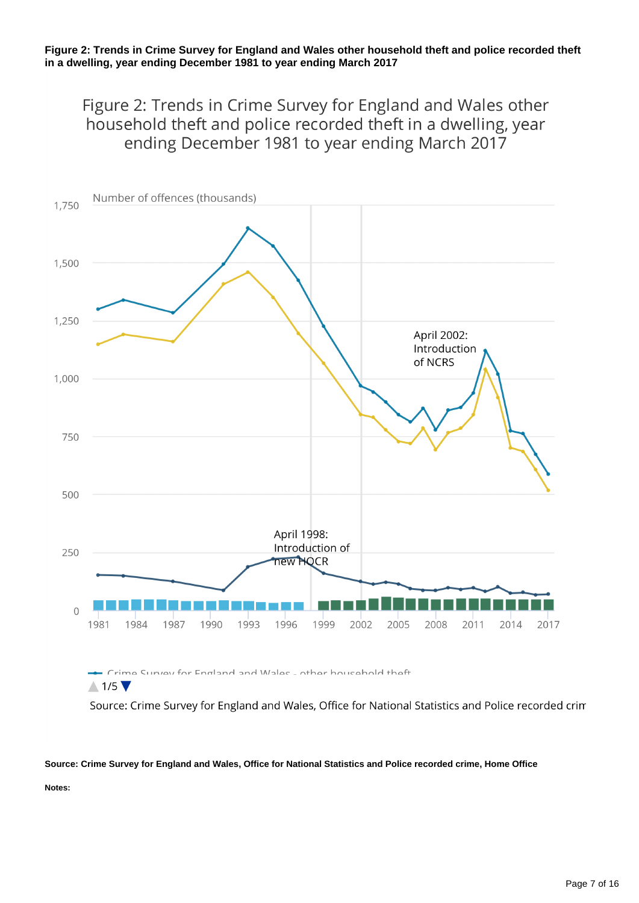#### **Figure 2: Trends in Crime Survey for England and Wales other household theft and police recorded theft in a dwelling, year ending December 1981 to year ending March 2017**

Figure 2: Trends in Crime Survey for England and Wales other household theft and police recorded theft in a dwelling, year ending December 1981 to year ending March 2017



- Crime Survey for England and Walec - other household theft  $\wedge$  1/5

Source: Crime Survey for England and Wales, Office for National Statistics and Police recorded crim

#### **Source: Crime Survey for England and Wales, Office for National Statistics and Police recorded crime, Home Office**

**Notes:**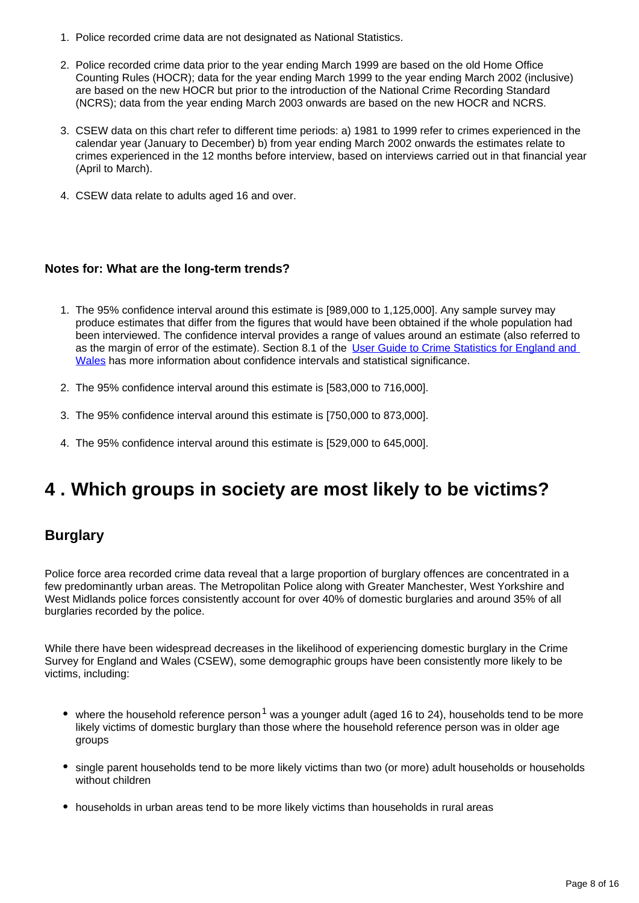- 1. Police recorded crime data are not designated as National Statistics.
- 2. Police recorded crime data prior to the year ending March 1999 are based on the old Home Office Counting Rules (HOCR); data for the year ending March 1999 to the year ending March 2002 (inclusive) are based on the new HOCR but prior to the introduction of the National Crime Recording Standard (NCRS); data from the year ending March 2003 onwards are based on the new HOCR and NCRS.
- 3. CSEW data on this chart refer to different time periods: a) 1981 to 1999 refer to crimes experienced in the calendar year (January to December) b) from year ending March 2002 onwards the estimates relate to crimes experienced in the 12 months before interview, based on interviews carried out in that financial year (April to March).
- 4. CSEW data relate to adults aged 16 and over.

#### **Notes for: What are the long-term trends?**

- 1. The 95% confidence interval around this estimate is [989,000 to 1,125,000]. Any sample survey may produce estimates that differ from the figures that would have been obtained if the whole population had been interviewed. The confidence interval provides a range of values around an estimate (also referred to as the margin of error of the estimate). Section 8.1 of the [User Guide to Crime Statistics for England and](http://www.ons.gov.uk/peoplepopulationandcommunity/crimeandjustice/methodologies/crimeandjusticemethodology)  [Wales](http://www.ons.gov.uk/peoplepopulationandcommunity/crimeandjustice/methodologies/crimeandjusticemethodology) has more information about confidence intervals and statistical significance.
- 2. The 95% confidence interval around this estimate is [583,000 to 716,000].
- 3. The 95% confidence interval around this estimate is [750,000 to 873,000].
- 4. The 95% confidence interval around this estimate is [529,000 to 645,000].

## <span id="page-7-0"></span>**4 . Which groups in society are most likely to be victims?**

#### **Burglary**

Police force area recorded crime data reveal that a large proportion of burglary offences are concentrated in a few predominantly urban areas. The Metropolitan Police along with Greater Manchester, West Yorkshire and West Midlands police forces consistently account for over 40% of domestic burglaries and around 35% of all burglaries recorded by the police.

While there have been widespread decreases in the likelihood of experiencing domestic burglary in the Crime Survey for England and Wales (CSEW), some demographic groups have been consistently more likely to be victims, including:

- where the household reference person<sup>1</sup> was a younger adult (aged 16 to 24), households tend to be more likely victims of domestic burglary than those where the household reference person was in older age groups
- single parent households tend to be more likely victims than two (or more) adult households or households without children
- households in urban areas tend to be more likely victims than households in rural areas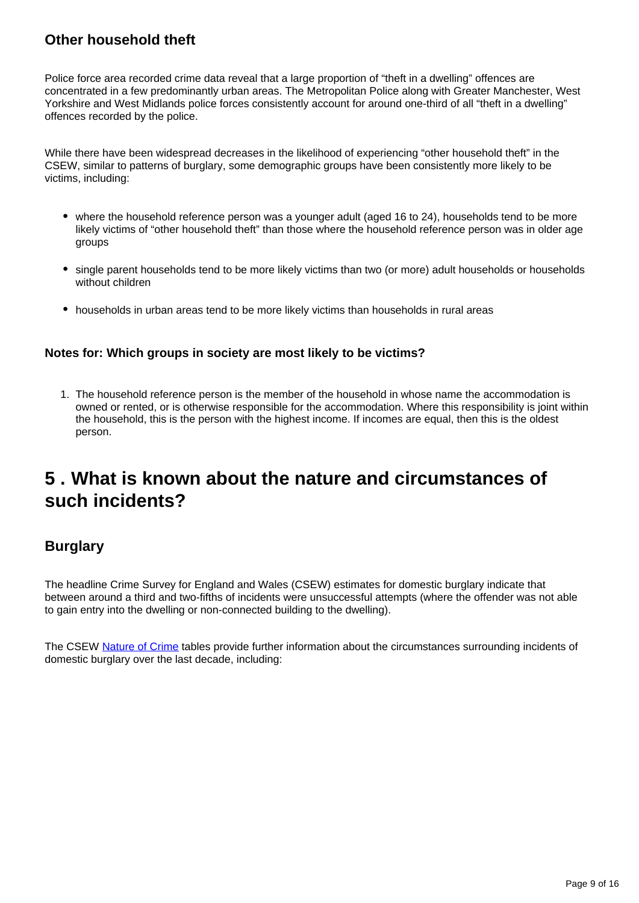### **Other household theft**

Police force area recorded crime data reveal that a large proportion of "theft in a dwelling" offences are concentrated in a few predominantly urban areas. The Metropolitan Police along with Greater Manchester, West Yorkshire and West Midlands police forces consistently account for around one-third of all "theft in a dwelling" offences recorded by the police.

While there have been widespread decreases in the likelihood of experiencing "other household theft" in the CSEW, similar to patterns of burglary, some demographic groups have been consistently more likely to be victims, including:

- where the household reference person was a younger adult (aged 16 to 24), households tend to be more likely victims of "other household theft" than those where the household reference person was in older age groups
- single parent households tend to be more likely victims than two (or more) adult households or households without children
- households in urban areas tend to be more likely victims than households in rural areas

#### **Notes for: Which groups in society are most likely to be victims?**

1. The household reference person is the member of the household in whose name the accommodation is owned or rented, or is otherwise responsible for the accommodation. Where this responsibility is joint within the household, this is the person with the highest income. If incomes are equal, then this is the oldest person.

### <span id="page-8-0"></span>**5 . What is known about the nature and circumstances of such incidents?**

### **Burglary**

The headline Crime Survey for England and Wales (CSEW) estimates for domestic burglary indicate that between around a third and two-fifths of incidents were unsuccessful attempts (where the offender was not able to gain entry into the dwelling or non-connected building to the dwelling).

The CSEW [Nature of Crime](https://www.ons.gov.uk/peoplepopulationandcommunity/crimeandjustice/datasets/natureofcrimeburglary) tables provide further information about the circumstances surrounding incidents of domestic burglary over the last decade, including: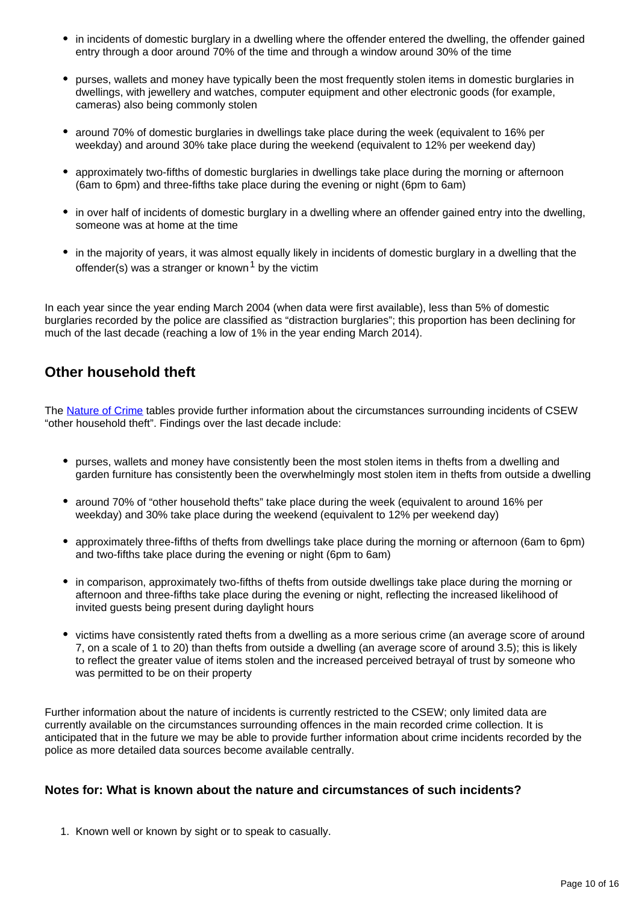- in incidents of domestic burglary in a dwelling where the offender entered the dwelling, the offender gained entry through a door around 70% of the time and through a window around 30% of the time
- purses, wallets and money have typically been the most frequently stolen items in domestic burglaries in dwellings, with jewellery and watches, computer equipment and other electronic goods (for example, cameras) also being commonly stolen
- around 70% of domestic burglaries in dwellings take place during the week (equivalent to 16% per weekday) and around 30% take place during the weekend (equivalent to 12% per weekend day)
- approximately two-fifths of domestic burglaries in dwellings take place during the morning or afternoon (6am to 6pm) and three-fifths take place during the evening or night (6pm to 6am)
- in over half of incidents of domestic burglary in a dwelling where an offender gained entry into the dwelling, someone was at home at the time
- in the majority of years, it was almost equally likely in incidents of domestic burglary in a dwelling that the offender(s) was a stranger or known<sup>1</sup> by the victim

In each year since the year ending March 2004 (when data were first available), less than 5% of domestic burglaries recorded by the police are classified as "distraction burglaries"; this proportion has been declining for much of the last decade (reaching a low of 1% in the year ending March 2014).

### **Other household theft**

The [Nature of Crime](https://www.ons.gov.uk/peoplepopulationandcommunity/crimeandjustice/datasets/natureofcrimeotherhouseholdtheft) tables provide further information about the circumstances surrounding incidents of CSEW "other household theft". Findings over the last decade include:

- purses, wallets and money have consistently been the most stolen items in thefts from a dwelling and garden furniture has consistently been the overwhelmingly most stolen item in thefts from outside a dwelling
- around 70% of "other household thefts" take place during the week (equivalent to around 16% per weekday) and 30% take place during the weekend (equivalent to 12% per weekend day)
- approximately three-fifths of thefts from dwellings take place during the morning or afternoon (6am to 6pm) and two-fifths take place during the evening or night (6pm to 6am)
- in comparison, approximately two-fifths of thefts from outside dwellings take place during the morning or afternoon and three-fifths take place during the evening or night, reflecting the increased likelihood of invited guests being present during daylight hours
- victims have consistently rated thefts from a dwelling as a more serious crime (an average score of around 7, on a scale of 1 to 20) than thefts from outside a dwelling (an average score of around 3.5); this is likely to reflect the greater value of items stolen and the increased perceived betrayal of trust by someone who was permitted to be on their property

Further information about the nature of incidents is currently restricted to the CSEW; only limited data are currently available on the circumstances surrounding offences in the main recorded crime collection. It is anticipated that in the future we may be able to provide further information about crime incidents recorded by the police as more detailed data sources become available centrally.

#### **Notes for: What is known about the nature and circumstances of such incidents?**

1. Known well or known by sight or to speak to casually.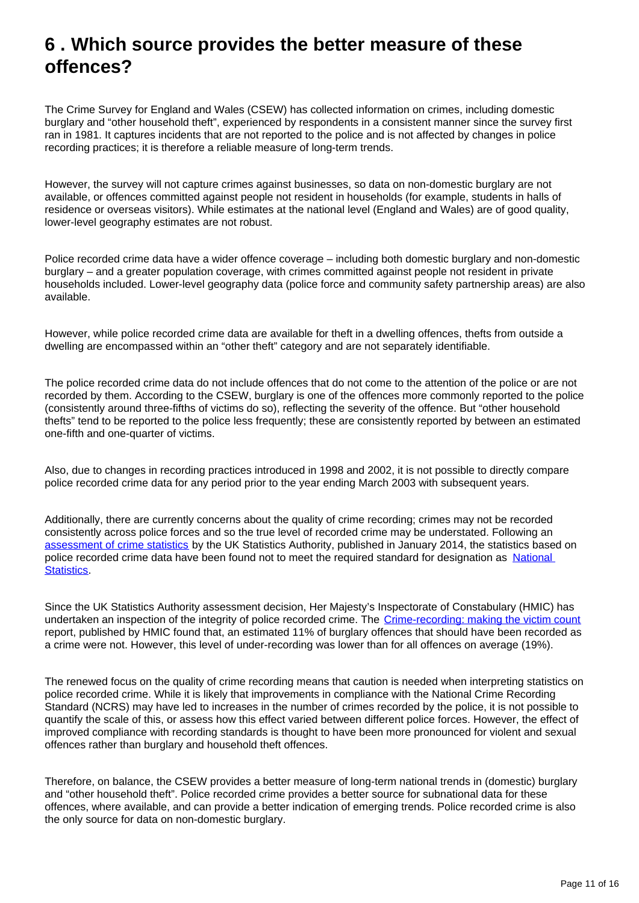### <span id="page-10-0"></span>**6 . Which source provides the better measure of these offences?**

The Crime Survey for England and Wales (CSEW) has collected information on crimes, including domestic burglary and "other household theft", experienced by respondents in a consistent manner since the survey first ran in 1981. It captures incidents that are not reported to the police and is not affected by changes in police recording practices; it is therefore a reliable measure of long-term trends.

However, the survey will not capture crimes against businesses, so data on non-domestic burglary are not available, or offences committed against people not resident in households (for example, students in halls of residence or overseas visitors). While estimates at the national level (England and Wales) are of good quality, lower-level geography estimates are not robust.

Police recorded crime data have a wider offence coverage – including both domestic burglary and non-domestic burglary – and a greater population coverage, with crimes committed against people not resident in private households included. Lower-level geography data (police force and community safety partnership areas) are also available.

However, while police recorded crime data are available for theft in a dwelling offences, thefts from outside a dwelling are encompassed within an "other theft" category and are not separately identifiable.

The police recorded crime data do not include offences that do not come to the attention of the police or are not recorded by them. According to the CSEW, burglary is one of the offences more commonly reported to the police (consistently around three-fifths of victims do so), reflecting the severity of the offence. But "other household thefts" tend to be reported to the police less frequently; these are consistently reported by between an estimated one-fifth and one-quarter of victims.

Also, due to changes in recording practices introduced in 1998 and 2002, it is not possible to directly compare police recorded crime data for any period prior to the year ending March 2003 with subsequent years.

Additionally, there are currently concerns about the quality of crime recording; crimes may not be recorded consistently across police forces and so the true level of recorded crime may be understated. Following an [assessment of crime statistics](https://www.statisticsauthority.gov.uk/archive/assessment/assessment/assessment-reports/assessment-report-268---statistics-on-crime-in-england-and-wales.pdf) by the UK Statistics Authority, published in January 2014, the statistics based on police recorded crime data have been found not to meet the required standard for designation as National [Statistics](https://www.statisticsauthority.gov.uk/national-statistician/types-of-official-statistics/).

Since the UK Statistics Authority assessment decision, Her Majesty's Inspectorate of Constabulary (HMIC) has undertaken an inspection of the integrity of police recorded crime. The [Crime-recording: making the victim count](https://www.justiceinspectorates.gov.uk/hmic/publication/crime-recording-making-the-victim-count/) report, published by HMIC found that, an estimated 11% of burglary offences that should have been recorded as a crime were not. However, this level of under-recording was lower than for all offences on average (19%).

The renewed focus on the quality of crime recording means that caution is needed when interpreting statistics on police recorded crime. While it is likely that improvements in compliance with the National Crime Recording Standard (NCRS) may have led to increases in the number of crimes recorded by the police, it is not possible to quantify the scale of this, or assess how this effect varied between different police forces. However, the effect of improved compliance with recording standards is thought to have been more pronounced for violent and sexual offences rather than burglary and household theft offences.

Therefore, on balance, the CSEW provides a better measure of long-term national trends in (domestic) burglary and "other household theft". Police recorded crime provides a better source for subnational data for these offences, where available, and can provide a better indication of emerging trends. Police recorded crime is also the only source for data on non-domestic burglary.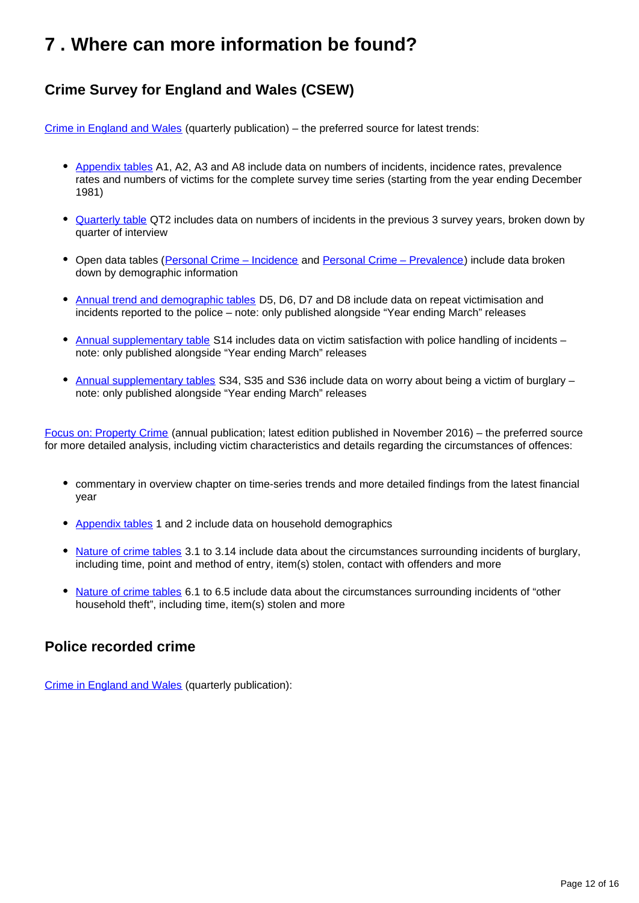## <span id="page-11-0"></span>**7 . Where can more information be found?**

### **Crime Survey for England and Wales (CSEW)**

[Crime in England and Wales](https://www.ons.gov.uk/peoplepopulationandcommunity/crimeandjustice/bulletins/crimeinenglandandwales/previousReleases) (quarterly publication) – the preferred source for latest trends:

- [Appendix tables](https://www.ons.gov.uk/peoplepopulationandcommunity/crimeandjustice/datasets/crimeinenglandandwalesappendixtables) A1, A2, A3 and A8 include data on numbers of incidents, incidence rates, prevalence rates and numbers of victims for the complete survey time series (starting from the year ending December 1981)
- [Quarterly table](https://www.ons.gov.uk/peoplepopulationandcommunity/crimeandjustice/datasets/crimeinenglandandwalesquarterlydatatables) QT2 includes data on numbers of incidents in the previous 3 survey years, broken down by quarter of interview
- Open data tables ([Personal Crime Incidence](https://www.ons.gov.uk/peoplepopulationandcommunity/crimeandjustice/datasets/personalcrimeincidencecsewopendatatable) and [Personal Crime Prevalence](https://www.ons.gov.uk/peoplepopulationandcommunity/crimeandjustice/datasets/personalcrimeprevalencecsewopendatatable)) include data broken down by demographic information
- [Annual trend and demographic tables](https://www.ons.gov.uk/peoplepopulationandcommunity/crimeandjustice/datasets/crimeinenglandandwalesannualtrendanddemographictables) D5, D6, D7 and D8 include data on repeat victimisation and incidents reported to the police – note: only published alongside "Year ending March" releases
- [Annual supplementary table](https://www.ons.gov.uk/peoplepopulationandcommunity/crimeandjustice/datasets/crimeinenglandandwalesannualsupplementarytables) S14 includes data on victim satisfaction with police handling of incidents note: only published alongside "Year ending March" releases
- [Annual supplementary tables](https://www.ons.gov.uk/peoplepopulationandcommunity/crimeandjustice/datasets/crimeinenglandandwalesannualsupplementarytables) S34, S35 and S36 include data on worry about being a victim of burglary note: only published alongside "Year ending March" releases

[Focus on: Property Crime](https://www.ons.gov.uk/peoplepopulationandcommunity/crimeandjustice/bulletins/focusonpropertycrime/previousReleases) (annual publication; latest edition published in November 2016) – the preferred source for more detailed analysis, including victim characteristics and details regarding the circumstances of offences:

- commentary in overview chapter on time-series trends and more detailed findings from the latest financial year
- [Appendix tables](https://www.ons.gov.uk/peoplepopulationandcommunity/crimeandjustice/datasets/focusonpropertycrimeappendixtables) 1 and 2 include data on household demographics
- [Nature of crime tables](https://www.ons.gov.uk/peoplepopulationandcommunity/crimeandjustice/datasets/natureofcrimeburglary) 3.1 to 3.14 include data about the circumstances surrounding incidents of burglary, including time, point and method of entry, item(s) stolen, contact with offenders and more
- [Nature of crime tables](https://www.ons.gov.uk/peoplepopulationandcommunity/crimeandjustice/datasets/natureofcrimeotherhouseholdtheft) 6.1 to 6.5 include data about the circumstances surrounding incidents of "other household theft", including time, item(s) stolen and more

#### **Police recorded crime**

[Crime in England and Wales](https://www.ons.gov.uk/peoplepopulationandcommunity/crimeandjustice/bulletins/crimeinenglandandwales/previousReleases) (quarterly publication):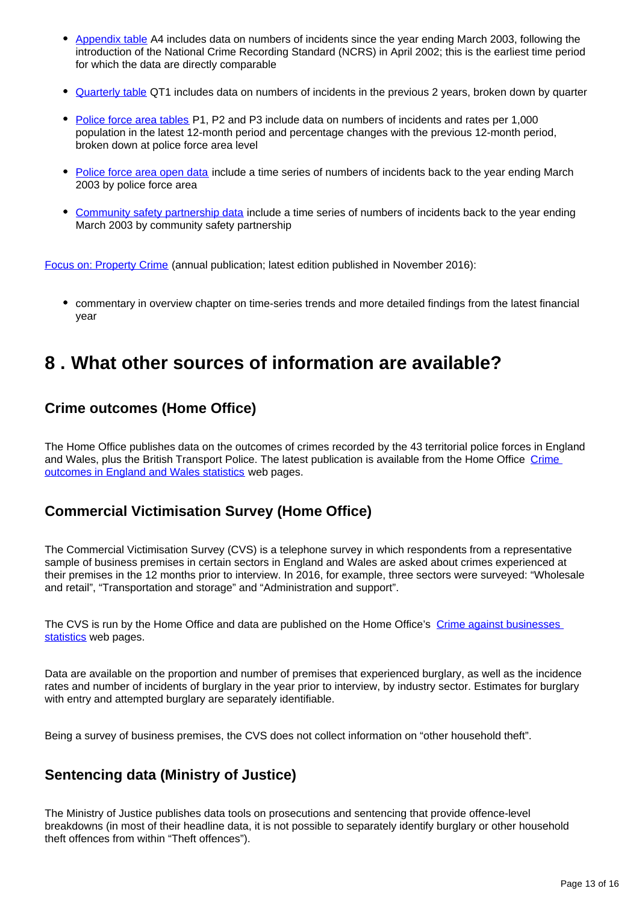- [Appendix table](https://www.ons.gov.uk/peoplepopulationandcommunity/crimeandjustice/datasets/crimeinenglandandwalesappendixtables) A4 includes data on numbers of incidents since the year ending March 2003, following the introduction of the National Crime Recording Standard (NCRS) in April 2002; this is the earliest time period for which the data are directly comparable
- [Quarterly table](https://www.ons.gov.uk/peoplepopulationandcommunity/crimeandjustice/datasets/crimeinenglandandwalesquarterlydatatables) QT1 includes data on numbers of incidents in the previous 2 years, broken down by quarter
- [Police force area tables](https://www.ons.gov.uk/peoplepopulationandcommunity/crimeandjustice/datasets/policeforceareadatatables) P1, P2 and P3 include data on numbers of incidents and rates per 1,000 population in the latest 12-month period and percentage changes with the previous 12-month period, broken down at police force area level
- [Police force area open data](https://www.ons.gov.uk/peoplepopulationandcommunity/crimeandjustice/datasets/recordedcrimedataatpoliceforcearealevelincludingpivottable) include a time series of numbers of incidents back to the year ending March 2003 by police force area
- [Community safety partnership data](https://www.ons.gov.uk/peoplepopulationandcommunity/crimeandjustice/datasets/recordedcrimedatabycommunitysafetypartnershiparea) include a time series of numbers of incidents back to the year ending March 2003 by community safety partnership

[Focus on: Property Crime](https://www.ons.gov.uk/peoplepopulationandcommunity/crimeandjustice/bulletins/focusonpropertycrime/previousReleases) (annual publication; latest edition published in November 2016):

commentary in overview chapter on time-series trends and more detailed findings from the latest financial year

### <span id="page-12-0"></span>**8 . What other sources of information are available?**

#### **Crime outcomes (Home Office)**

The Home Office publishes data on the outcomes of crimes recorded by the 43 territorial police forces in England and Wales, plus the British Transport Police. The latest publication is available from the Home Office [Crime](https://www.gov.uk/government/collections/crime-outcomes-in-england-and-wales-statistics)  [outcomes in England and Wales statistics](https://www.gov.uk/government/collections/crime-outcomes-in-england-and-wales-statistics) web pages.

### **Commercial Victimisation Survey (Home Office)**

The Commercial Victimisation Survey (CVS) is a telephone survey in which respondents from a representative sample of business premises in certain sectors in England and Wales are asked about crimes experienced at their premises in the 12 months prior to interview. In 2016, for example, three sectors were surveyed: "Wholesale and retail", "Transportation and storage" and "Administration and support".

The CVS is run by the Home Office and data are published on the Home Office's Crime against businesses [statistics](https://www.gov.uk/government/collections/crime-against-businesses) web pages.

Data are available on the proportion and number of premises that experienced burglary, as well as the incidence rates and number of incidents of burglary in the year prior to interview, by industry sector. Estimates for burglary with entry and attempted burglary are separately identifiable.

Being a survey of business premises, the CVS does not collect information on "other household theft".

### **Sentencing data (Ministry of Justice)**

The Ministry of Justice publishes data tools on prosecutions and sentencing that provide offence-level breakdowns (in most of their headline data, it is not possible to separately identify burglary or other household theft offences from within "Theft offences").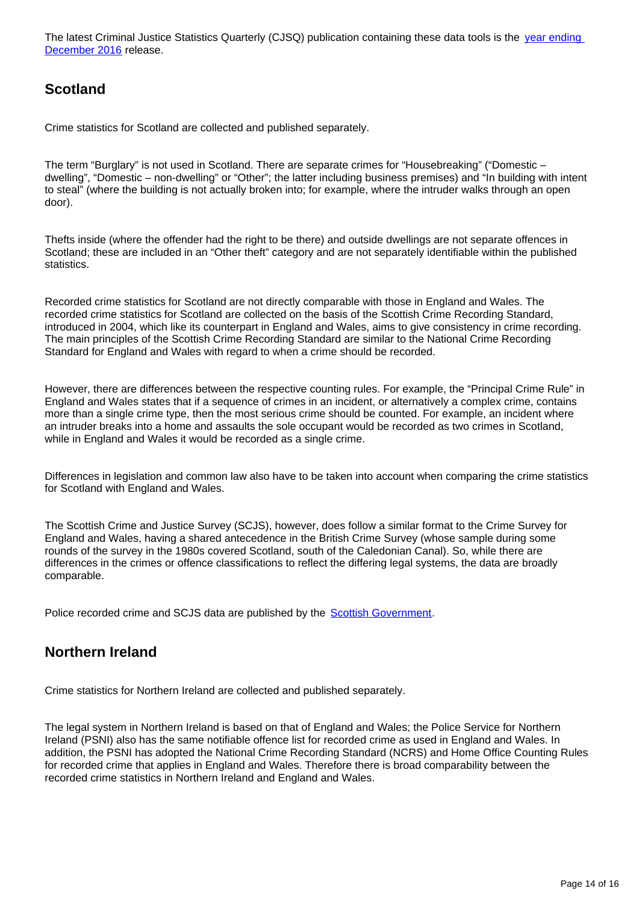The latest Criminal Justice Statistics Quarterly (CJSQ) publication containing these data tools is the year ending [December 2016](https://www.gov.uk/government/statistics/criminal-justice-system-statistics-quarterly-december-2016) release.

### **Scotland**

Crime statistics for Scotland are collected and published separately.

The term "Burglary" is not used in Scotland. There are separate crimes for "Housebreaking" ("Domestic – dwelling", "Domestic – non-dwelling" or "Other"; the latter including business premises) and "In building with intent to steal" (where the building is not actually broken into; for example, where the intruder walks through an open door).

Thefts inside (where the offender had the right to be there) and outside dwellings are not separate offences in Scotland; these are included in an "Other theft" category and are not separately identifiable within the published statistics.

Recorded crime statistics for Scotland are not directly comparable with those in England and Wales. The recorded crime statistics for Scotland are collected on the basis of the Scottish Crime Recording Standard, introduced in 2004, which like its counterpart in England and Wales, aims to give consistency in crime recording. The main principles of the Scottish Crime Recording Standard are similar to the National Crime Recording Standard for England and Wales with regard to when a crime should be recorded.

However, there are differences between the respective counting rules. For example, the "Principal Crime Rule" in England and Wales states that if a sequence of crimes in an incident, or alternatively a complex crime, contains more than a single crime type, then the most serious crime should be counted. For example, an incident where an intruder breaks into a home and assaults the sole occupant would be recorded as two crimes in Scotland, while in England and Wales it would be recorded as a single crime.

Differences in legislation and common law also have to be taken into account when comparing the crime statistics for Scotland with England and Wales.

The Scottish Crime and Justice Survey (SCJS), however, does follow a similar format to the Crime Survey for England and Wales, having a shared antecedence in the British Crime Survey (whose sample during some rounds of the survey in the 1980s covered Scotland, south of the Caledonian Canal). So, while there are differences in the crimes or offence classifications to reflect the differing legal systems, the data are broadly comparable.

Police recorded crime and SCJS data are published by the **[Scottish Government](http://www.gov.scot/Topics/Statistics/Browse/Crime-Justice)**.

### **Northern Ireland**

Crime statistics for Northern Ireland are collected and published separately.

The legal system in Northern Ireland is based on that of England and Wales; the Police Service for Northern Ireland (PSNI) also has the same notifiable offence list for recorded crime as used in England and Wales. In addition, the PSNI has adopted the National Crime Recording Standard (NCRS) and Home Office Counting Rules for recorded crime that applies in England and Wales. Therefore there is broad comparability between the recorded crime statistics in Northern Ireland and England and Wales.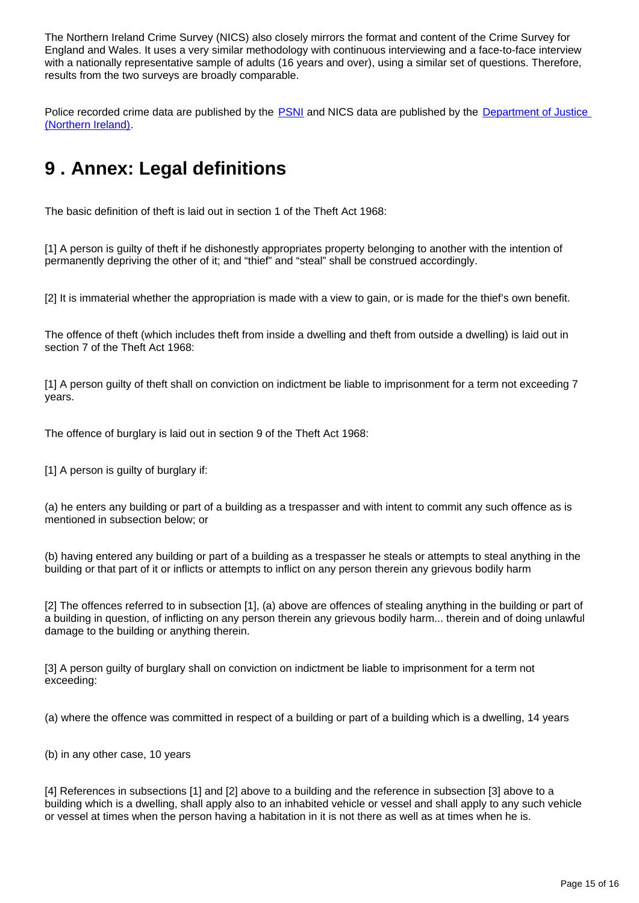The Northern Ireland Crime Survey (NICS) also closely mirrors the format and content of the Crime Survey for England and Wales. It uses a very similar methodology with continuous interviewing and a face-to-face interview with a nationally representative sample of adults (16 years and over), using a similar set of questions. Therefore, results from the two surveys are broadly comparable.

Police recorded crime data are published by the [PSNI](http://www.psni.police.uk/index/updates/updates_statistics.htm) and NICS data are published by the [Department of Justice](https://www.justice-ni.gov.uk/articles/northern-ireland-crime-survey)  [\(Northern Ireland\).](https://www.justice-ni.gov.uk/articles/northern-ireland-crime-survey)

## <span id="page-14-0"></span>**9 . Annex: Legal definitions**

The basic definition of theft is laid out in section 1 of the Theft Act 1968:

[1] A person is guilty of theft if he dishonestly appropriates property belonging to another with the intention of permanently depriving the other of it; and "thief" and "steal" shall be construed accordingly.

[2] It is immaterial whether the appropriation is made with a view to gain, or is made for the thief's own benefit.

The offence of theft (which includes theft from inside a dwelling and theft from outside a dwelling) is laid out in section 7 of the Theft Act 1968:

[1] A person guilty of theft shall on conviction on indictment be liable to imprisonment for a term not exceeding 7 years.

The offence of burglary is laid out in section 9 of the Theft Act 1968:

[1] A person is guilty of burglary if:

(a) he enters any building or part of a building as a trespasser and with intent to commit any such offence as is mentioned in subsection below; or

(b) having entered any building or part of a building as a trespasser he steals or attempts to steal anything in the building or that part of it or inflicts or attempts to inflict on any person therein any grievous bodily harm

[2] The offences referred to in subsection [1], (a) above are offences of stealing anything in the building or part of a building in question, of inflicting on any person therein any grievous bodily harm... therein and of doing unlawful damage to the building or anything therein.

[3] A person guilty of burglary shall on conviction on indictment be liable to imprisonment for a term not exceeding:

(a) where the offence was committed in respect of a building or part of a building which is a dwelling, 14 years

(b) in any other case, 10 years

[4] References in subsections [1] and [2] above to a building and the reference in subsection [3] above to a building which is a dwelling, shall apply also to an inhabited vehicle or vessel and shall apply to any such vehicle or vessel at times when the person having a habitation in it is not there as well as at times when he is.